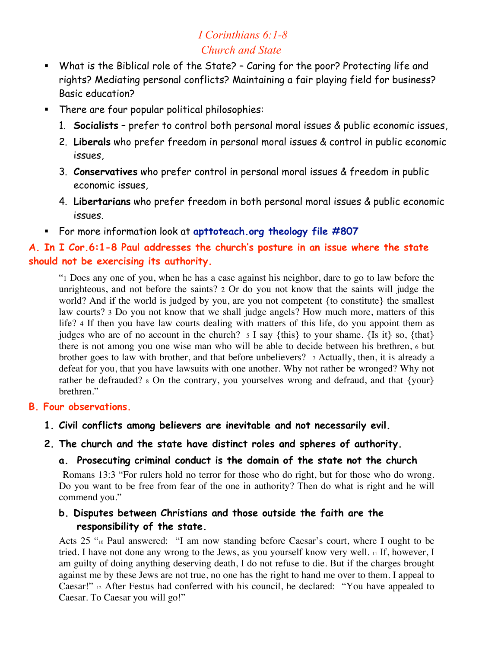# *I Corinthians 6:1-8 Church and State*

- What is the Biblical role of the State? Caring for the poor? Protecting life and rights? Mediating personal conflicts? Maintaining a fair playing field for business? Basic education?
- **There are four popular political philosophies:** 
	- 1. **Socialists** prefer to control both personal moral issues & public economic issues,
	- 2. **Liberals** who prefer freedom in personal moral issues & control in public economic issues,
	- 3. **Conservatives** who prefer control in personal moral issues & freedom in public economic issues,
	- 4. **Libertarians** who prefer freedom in both personal moral issues & public economic issues.
- For more information look at **apttoteach.org theology file #807**

### **A. In I Cor.6:1-8 Paul addresses the church's posture in an issue where the state should not be exercising its authority.**

 "1 Does any one of you, when he has a case against his neighbor, dare to go to law before the unrighteous, and not before the saints? 2 Or do you not know that the saints will judge the world? And if the world is judged by you, are you not competent {to constitute} the smallest law courts? 3 Do you not know that we shall judge angels? How much more, matters of this life? 4 If then you have law courts dealing with matters of this life, do you appoint them as judges who are of no account in the church? 5 I say {this} to your shame. {Is it} so, {that} there is not among you one wise man who will be able to decide between his brethren, 6 but brother goes to law with brother, and that before unbelievers?  $\tau$  Actually, then, it is already a defeat for you, that you have lawsuits with one another. Why not rather be wronged? Why not rather be defrauded?  $\frac{1}{8}$  On the contrary, you yourselves wrong and defraud, and that {your} brethren."

#### **B. Four observations.**

**1. Civil conflicts among believers are inevitable and not necessarily evil.**

#### **2. The church and the state have distinct roles and spheres of authority.**

#### **a. Prosecuting criminal conduct is the domain of the state not the church.**

Romans 13:3 "For rulers hold no terror for those who do right, but for those who do wrong. Do you want to be free from fear of the one in authority? Then do what is right and he will commend you."

#### **b. Disputes between Christians and those outside the faith are the responsibility of the state.**

Acts 25 "10 Paul answered: "I am now standing before Caesar's court, where I ought to be tried. I have not done any wrong to the Jews, as you yourself know very well. 11 If, however, I am guilty of doing anything deserving death, I do not refuse to die. But if the charges brought against me by these Jews are not true, no one has the right to hand me over to them. I appeal to Caesar!" 12 After Festus had conferred with his council, he declared: "You have appealed to Caesar. To Caesar you will go!"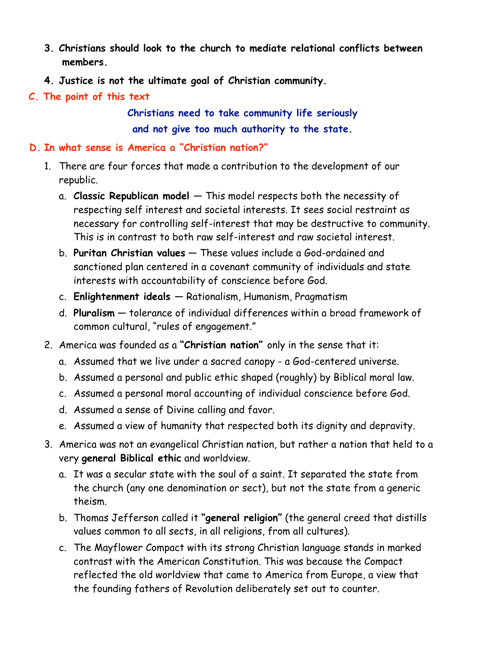- **3. Christians should look to the church to mediate relational conflicts between members.**
- **4. Justice is not the ultimate goal of Christian community.**
- **C. The point of this text**

**Christians need to take community life seriously and not give too much authority to the state.**

### **D. In what sense is America a "Christian nation?"**

- 1. There are four forces that made a contribution to the development of our republic.
	- a. **Classic Republican model**  This model respects both the necessity of respecting self interest and societal interests. It sees social restraint as necessary for controlling self-interest that may be destructive to community. This is in contrast to both raw self-interest and raw societal interest.
	- b. **Puritan Christian values** These values include a God-ordained and sanctioned plan centered in a covenant community of individuals and state interests with accountability of conscience before God.
	- c. **Enlightenment ideals**  Rationalism, Humanism, Pragmatism
	- d. **Pluralism** tolerance of individual differences within a broad framework of common cultural, "rules of engagement."
- 2. America was founded as a **"Christian nation"** only in the sense that it:
	- a. Assumed that we live under a sacred canopy a God-centered universe.
	- b. Assumed a personal and public ethic shaped (roughly) by Biblical moral law.
	- c. Assumed a personal moral accounting of individual conscience before God.
	- d. Assumed a sense of Divine calling and favor.
	- e. Assumed a view of humanity that respected both its dignity and depravity.
- 3. America was not an evangelical Christian nation, but rather a nation that held to a very **general Biblical ethic** and worldview.
	- a. It was a secular state with the soul of a saint. It separated the state from the church (any one denomination or sect), but not the state from a generic theism.
	- b. Thomas Jefferson called it **"general religion"** (the general creed that distills values common to all sects, in all religions, from all cultures).
	- c. The Mayflower Compact with its strong Christian language stands in marked contrast with the American Constitution. This was because the Compact reflected the old worldview that came to America from Europe, a view that the founding fathers of Revolution deliberately set out to counter.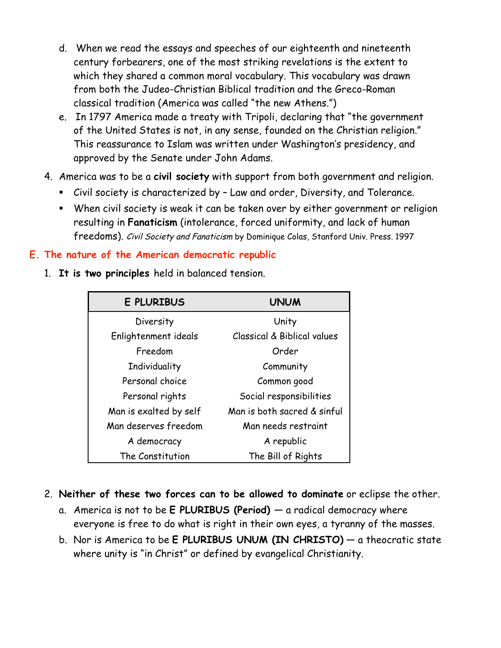- d. When we read the essays and speeches of our eighteenth and nineteenth century forbearers, one of the most striking revelations is the extent to which they shared a common moral vocabulary. This vocabulary was drawn from both the Judeo-Christian Biblical tradition and the Greco-Roman classical tradition (America was called "the new Athens.")
- e. In 1797 America made a treaty with Tripoli, declaring that "the government of the United States is not, in any sense, founded on the Christian religion." This reassurance to Islam was written under Washington's presidency, and approved by the Senate under John Adams.
- 4. America was to be a **civil society** with support from both government and religion.
	- Civil society is characterized by Law and order, Diversity, and Tolerance.
	- When civil society is weak it can be taken over by either government or religion resulting in **Fanaticism** (intolerance, forced uniformity, and lack of human freedoms). Civil Society and Fanaticism by Dominique Colas, Stanford Univ. Press. 1997

## **E. The nature of the American democratic republic**

1. **It is two principles** held in balanced tension.

| <b>E PLURIBUS</b>      | <b>UNUM</b>                 |
|------------------------|-----------------------------|
| Diversity              | Unity                       |
| Enlightenment ideals   | Classical & Biblical values |
| Freedom                | Order                       |
| Individuality          | Community                   |
| Personal choice        | Common good                 |
| Personal rights        | Social responsibilities     |
| Man is exalted by self | Man is both sacred & sinful |
| Man deserves freedom   | Man needs restraint         |
| A democracy            | A republic                  |
| The Constitution       | The Bill of Rights          |

- 2. **Neither of these two forces can to be allowed to dominate** or eclipse the other.
	- a. America is not to be **E PLURIBUS (Period)**  a radical democracy where everyone is free to do what is right in their own eyes, a tyranny of the masses.
	- b. Nor is America to be **E PLURIBUS UNUM (IN CHRISTO)** a theocratic state where unity is "in Christ" or defined by evangelical Christianity.